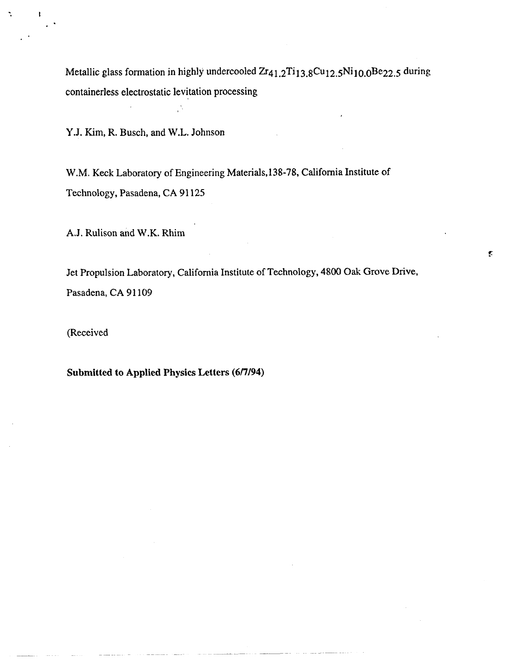Metallic glass formation in highly undercooled  $Zr_{41.2}Ti_{13.8}Cu_{12.5}Ni_{10.0}Be_{22.5}$  during containerless electrostatic levitation processing

Y.J. Kim, R. Busch, and W.L. Johnson

Å,

W.M. Keck Laboratory of Engineering Materials,138-78, California Institute of Technology, Pasadena, CA 91125

A.J. Rulison and W.K. Rhim

Jet Propulsion Laboratory, California Institute of Technology, 4800 Oak Grove Drive, Pasadena, CA 91109

ţ.

(Received

—

.

I ."

**Submitted to Applied Physics Letters (6/7/94)**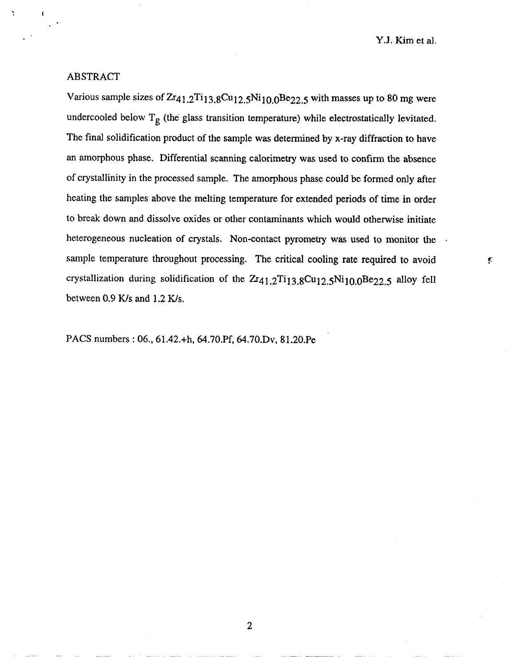Y.J. Kim et al.

## ABSTRACT

Various sample sizes of  $Zr_{41.2}Ti_{13.8}Cu_{12.5}Ni_{10.0}Be_{22.5}$  with masses up to 80 mg were undercooled below  $T_g$  (the glass transition temperature) while electrostatically levitated. The final solidification product of the sample was determined by x-ray diffraction to have an amorphous phase. Differential scanning calorimetry was used to confirm the absence of crystallinity in the processed sample. The amorphous phase could be formed only after heating the samples above the melting temperature for extended periods of time in order to break down and dissolve oxides or other contaminants which would otherwise initiate heterogeneous nucleation of crystals. Non-contact pyrometry was used to monitor the sample temperature throughout processing. The critical cooling rate required to avoid crystallization during solidification of the  $Zr_{41.2}Ti_{13.8}Cu_{12.5}Ni_{10.0}Be_{22.5}$  alloy fell between 0.9 K/s and 1.2 K/s.

PACS numbers :06.,61 .42.+h, 64.70.Pf, 64.70.Dv, 81.20.Pe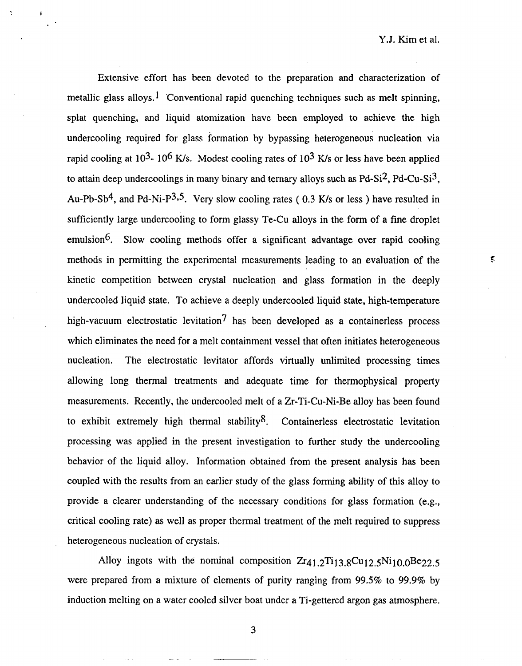Extensive effort has been devoted to the preparation and characterization of metallic glass alloys.<sup>1</sup> Conventional rapid quenching techniques such as melt spinning splat quenching, and liquid atomization have been employed to achieve the high undercooling required for glass formation by bypassing heterogeneous nucleation via rapid cooling at  $10^3$ -  $10^6$  K/s. Modest cooling rates of  $10^3$  K/s or less have been applied to attain deep undercoolings in many binary and ternary alloys such as  $Pd-Si<sup>2</sup>$ ,  $Pd-Cu-Si<sup>3</sup>$ , Au-Pb-Sb<sup>4</sup>, and Pd-Ni-P<sup>3,5</sup>. Very slow cooling rates (0.3 K/s or less) have resulted in sufficiently large undercooling to form glassy Te-Cu alloys in the form of a fine droplet emulsion<sup>6</sup>. Slow cooling methods offer a significant advantage over rapid cooling methods in permitting the experimental measurements leading to an evaluation of the  $\epsilon$ kinetic competition between crystal nucleation and glass formation in the deeply undercooled liquid state. To achieve a deeply undercooled liquid state, high-temperature high-vacuum electrostatic levitation<sup>7</sup> has been developed as a containerless process which eliminates the need for a melt containment vessel that often initiates heterogeneous nucleation. The electrostatic levitator affords virtually unlimited processing times allowing long thermal treatments and adequate time for thermophysical property measurements. Recently, the undercooled melt of a Zr-Ti-Cu-Ni-Be alloy has been found to exhibit extremely high thermal stability<sup>8</sup>. Containerless electrostatic levitation processing was applied in the present investigation to further study the undercooling behavior of the liquid alloy. Information obtained from the present analysis has been coupled with the results from an earlier study of the glass forming ability of this alloy to provide a clearer understanding of the necessary conditions for glass formation (e.g., critical cooling rate) as well as proper thermal treatment of the melt required to suppress heterogeneous nucleation of crystals.

..

i

Alloy ingots with the nominal composition  $Zr_{41.2}Ti_{13.8}Cu_{12.5}Ni_{10.0}Be_{22.5}$ were prepared from a mixture of elements of purity ranging from 99.5% to 99.9% by induction melting on a water cooled silver boat under a Ti-gettered argon gas atmosphere.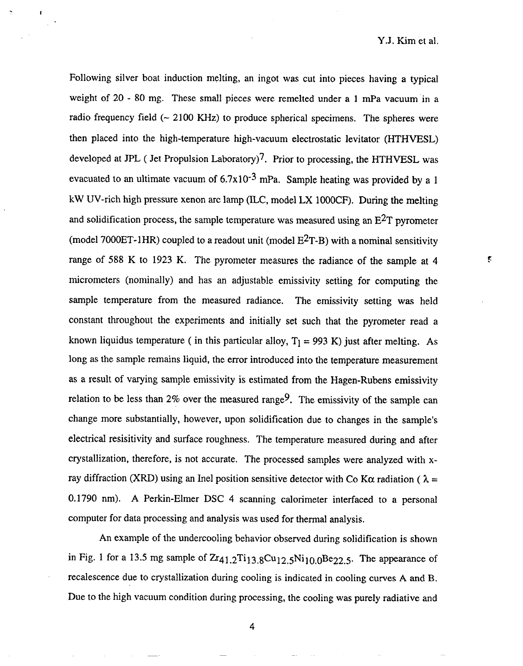Following silver boat induction melting, an ingot was cut into pieces having a typical weight of 20 - 80 mg. These small pieces were remelted under a 1 mPa vacuum in a radio frequency field  $(-2100 \text{ KHz})$  to produce spherical specimens. The spheres were then placed into the high-temperature high-vacuum electrostatic levitator (HTHVESL) developed at JPL ( Jet Propulsion Laboratory)<sup>7</sup>. Prior to processing, the HTHVESL was evacuated to an ultimate vacuum of  $6.7x10^{-3}$  mPa. Sample heating was provided by a 1 kW UV-rich high pressure xenon arc lamp (ILC, model LX 1000CF). During the melting and solidification process, the sample temperature was measured using an  $E<sup>2</sup>T$  pyrometer (model 7000ET-1HR) coupled to a readout unit (model  $E^2T-B$ ) with a nominal sensitivity range of 588 K to 1923 K. The pyrometer measures the radiance of the sample at 4 micrometers (nominally) and has an adjustable emissivity setting for computing the sample temperature from the measured radiance, The emissivity setting was held constant throughout the experiments and initially set such that the pyrometer read a known liquidus temperature ( in this particular alloy,  $T_1 = 993$  K) just after melting. As long as the sample remains liquid, the error introduced into the temperature measurement as a result of varying sample emissivity is estimated from the Hagen-Rubens emissivity relation to be less than  $2\%$  over the measured range<sup>9</sup>. The emissivity of the sample can change more substantially, however, upon solidification due to changes in the sample's electrical resisitivity and surface roughness. The temperature measured during and after crystallization, therefore, is not accurate, The processed samples were analyzed with xray diffraction (XRD) using an Inel position sensitive detector with Co K $\alpha$  radiation ( $\lambda =$ 0.1790 nm). A Perkin-Elmer DSC 4 scanning calorimeter interfaced to a personal computer for data processing and analysis was used for thermal analysis.

.

I

An example of the undercooling behavior observed during solidification is shown in Fig. 1 for a 13.5 mg sample of  $Zr_{41.2}Ti_{13.8}Cu_{12.5}Ni_{10.0}Be_{22.5}$ . The appearance of recalescence due to crystallization during cooling is indicated in cooling curves A and B. Due to the high vacuum condition during processing, the cooling was purely radiative and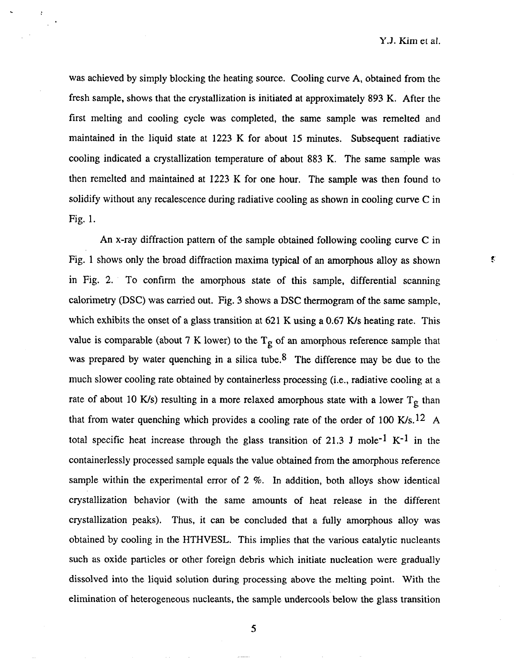£.

was achieved by simply blocking the heating source. Cooling curve A, obtained from the fresh sample, shows that the crystallization is initiated at approximately 893 K. After the first melting and cooling cycle was completed, the same sample was remelted and maintained in the liquid state at 1223 K for about 15 minutes. Subsequent radiative cooling indicated a crystallization temperature of about 883 K. The same sample was then remelted and maintained at 1223 K for one hour. The sample was then found to solidify without any recalescence during radiative cooling as shown in cooling curve C in Fig. 1.

.

An x-ray diffraction pattern of the sample obtained following cooling curve C in Fig, 1 shows only the broad diffraction maxima typical of an amorphous alloy as shown in Fig. 2. To confirm the amorphous state of this sample, differential scanning calorimetry (DSC) was carried out, Fig. 3 shows a DSC thermogram of the same sample, which exhibits the onset of a glass transition at 621 K using a 0.67 K/s heating rate. This value is comparable (about 7 K lower) to the  $T_g$  of an amorphous reference sample that was prepared by water quenching in a silica tube.<sup>8</sup> The difference may be due to the much slower cooling rate obtained by containerless processing (i.e., radiative cooling at a rate of about 10 K/s) resulting in a more relaxed amorphous state with a lower  $T_g$  than that from water quenching which provides a cooling rate of the order of 100 K/s. 12 A total specific heat increase through the glass transition of 21.3 J mole<sup>-1</sup> K<sup>-1</sup> in the containerlessly processed sample equals the value obtained from the amorphous reference sample within the experimental error of 2 %. In addition, both alloys show identical crystallization behavior (with the same amounts of heat release in the different crystallization peaks). Thus, it can be concluded that a filly amorphous alloy was obtained by cooling in the HTHVESL. This implies that the various catalytic nucleants such as oxide particles or other foreign debris which initiate nucleation were gradually dissolved into the liquid solution during processing above the melting point. With the elimination of heterogeneous nucleants, the sample undercooks below the glass transition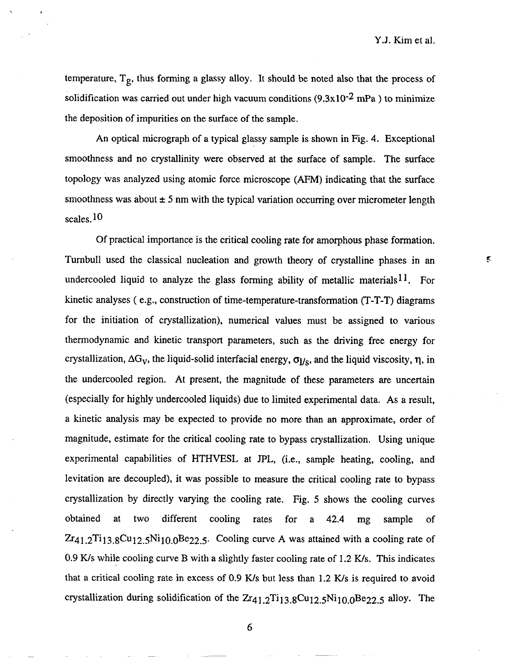ŧ.

temperature,  $T_g$ , thus forming a glassy alloy. It should be noted also that the process of solidification was carried out under high vacuum conditions  $(9.3 \times 10^{-2} \text{ mPa})$  to minimize the deposition of impurities on the surface of the sample.

An optical micrograph of a typical glassy sample is shown in Fig. 4. Exceptional smoothness and no crystallinity were observed at the surface of sample. The surface topology was analyzed using atomic force microscope (AFM) indicating that the surface smoothness was about  $\pm$  5 nm with the typical variation occurring over micrometer length scales.<sup>10</sup>

Of practical importance is the critical cooling rate for amorphous phase formation. Turnbull used the classical nucleation and growth theory of crystalline phases in an undercooled liquid to analyze the glass forming ability of metallic materials  $11$ . For kinetic analyses ( e.g., construction of time-temperature-transformation (T-T-T) diagrams for the initiation of crystallization), numerical values must be assigned to various thermodynamic and kinetic transport parameters, such as the driving free energy for crystallization,  $\Delta G_V$ , the liquid-solid interfacial energy,  $\sigma_{1/s}$ , and the liquid viscosity,  $\eta$ , in the undercooled region. At present, the magnitude of these parameters are uncertain (especially for highly undercooled liquids) due to limited experimental data. As a result, a kinetic analysis may be expected to provide no more than an approximate, order of magnitude, estimate for the critical cooling rate to bypass crystallization. Using unique experimental capabilities of HTHVESL at JPL, (i.e., sample heating, cooling, and levitation are decoupled), it was possible to measure the critical cooling rate to bypass crystallization by directly varying the cooling rate, Fig. 5 shows the cooling curves obtained at two different cooling rates for a 42.4 mg sample of  $Zr_{41.2}Ti_{13.8}Cu_{12.5}Ni_{10.0}Be_{22.5}$ . Cooling curve A was attained with a cooling rate of 0.9 K/s while cooling curve B with a slightly faster cooling rate of 1.2 K/s. This indicates that a critical cooling rate in excess of 0.9 K/s but less than 1.2 K/s is required to avoid crystallization during solidification of the  $Zr_{41.2}Ti_{13.8}Cu_{12.5}Ni_{10.0}Be_{22.5}$  alloy. The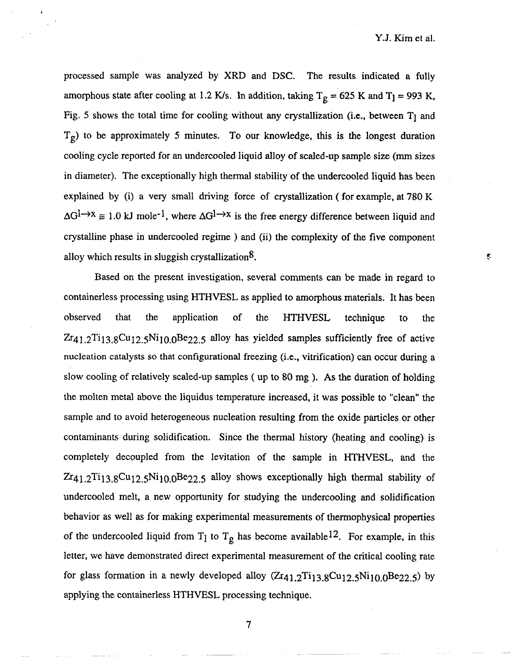processed sample was analyzed by XRD and DSC. The results indicated a fully amorphous state after cooling at 1.2 K/s. In addition, taking  $T_g = 625$  K and  $T_l = 993$  K, Fig. 5 shows the total time for cooling without any crystallization (i.e., between  $T_1$  and  $T_g$ ) to be approximately 5 minutes. To our knowledge, this is the longest duration cooling cycle reported for an undercooled liquid alloy of scaled-up sample size (mm sizes in diameter). The exceptionally high thermal stability of the undercooled liquid has been explained by (i) a very small driving force of crystallization ( for example, at 780 K  $\Delta G^{1\rightarrow X} \approx 1.0 \text{ kJ mole}^{-1}$ , where  $\Delta G^{1\rightarrow X}$  is the free energy difference between liquid and crystalline phase in undercooled regime) and (ii) the complexity of the five component alloy which results in sluggish crystallization $8$ .

Based on the present investigation, several comments can be made in regard to containerless processing using HTHVESL as applied to amorphous materials. It has been observed that the application of the HTHVESL technique to the  $Zr_{41.2}Ti_{13.8}Cu_{12.5}Ni_{10.0}Be_{22.5}$  alloy has yielded samples sufficiently free of active nucleation catalysts so that configurational freezing (i.e., vitrification) can occur during a slow cooling of relatively scaled-up samples ( up to 80 mg ). As the duration of holding the molten metal above the liquidus temperature increased, it was possible to "clean" the sample and to avoid heterogeneous nucleation resulting from the oxide particles or other contaminants during solidification. Since the thermal history (heating and cooling) is completely decoupled from the levitation of the sample in HTHVESL, and the  $Zr_{41.2}Ti_{13.8}Cu_{12.5}Ni_{10.0}Be_{22.5}$  alloy shows exceptionally high thermal stability of undercooled melt, a new opportunity for studying the undercooling and solidification behavior as well as for making experimental measurements of therrnophysical properties of the undercooled liquid from T<sub>1</sub> to T<sub>g</sub> has become available <sup>12</sup>. For example, in this letter, we have demonstrated direct experimental measurement of the critical cooling rate for glass formation in a newly developed alloy  $(Zr_{41.2}Ti_{13.8}Cu_{12.5}Ni_{10.0}Be_{22.5})$  by applying the containerless HTHVESL processing technique.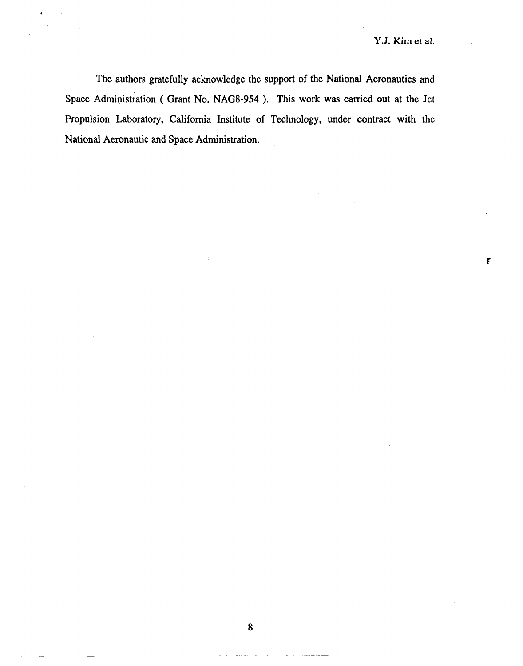Ķ

The authors gratefully acknowledge the support of the National Aeronautics and Space Adrninistration ( Grant No. NAG8-954 ). This work was carried out at the Jet Propulsion Laboratory, California Institute of Technology, under contract with the National Aeronautic and Space Administration.

.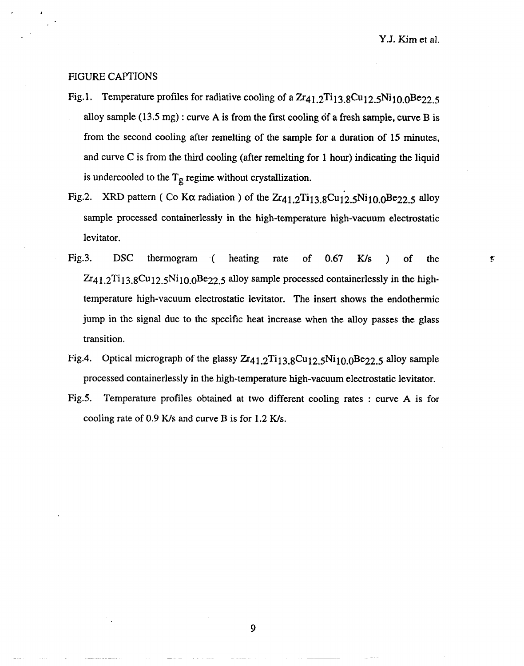## FIGURE CAPTIONS

- Fig.1. Temperature profiles for radiative cooling of a  $Zr_{41.2}Ti_{13.8}Cu_{12.5}Ni_{10.0}Be_{22.5}$ alloy sample  $(13.5 \text{ mg})$ : curve A is from the first cooling of a fresh sample, curve B is from the second cooling after remelting of the sample for a duration of 15 minutes, and curve C is from the third cooling (after remelting for 1 hour) indicating the liquid is undercooled to the  $T_g$  regime without crystallization.
- Fig.2. XRD pattern ( Co K $\alpha$  radiation ) of the Zr<sub>41,2</sub>Ti<sub>13.8</sub>Cu<sub>12.5</sub>Ni<sub>10.0</sub>Be<sub>22.5</sub> alloy sample processed containerlessly in the high-temperature high-vacuum electrostatic levitator.
- Fig.3. DSC thermogram ( heating rate of 0.67 K/s ) of the  $Zr_{41.2}Ti_{13.8}Cu_{12.5}Ni_{10.0}Be_{22.5}$  alloy sample processed containerlessly in the hightemperature high-vacuum electrostatic levitator. The insert shows the endothermic jump in the signal due to the specific heat increase when the alloy passes the glass transition.
- Fig.4. Optical micrograph of the glassy  $Zr_{41.2}Ti_{13.8}Cu_{12.5}Ni_{10.0}Be_{22.5}$  alloy sample processed containerlessly in the high-temperature high-vacuum electrostatic levitator.
- Fig.5. Temperature profiles obtained at two different cooling rates : curve A is for cooling rate of 0.9 K/s and curve B is for 1.2 K/s.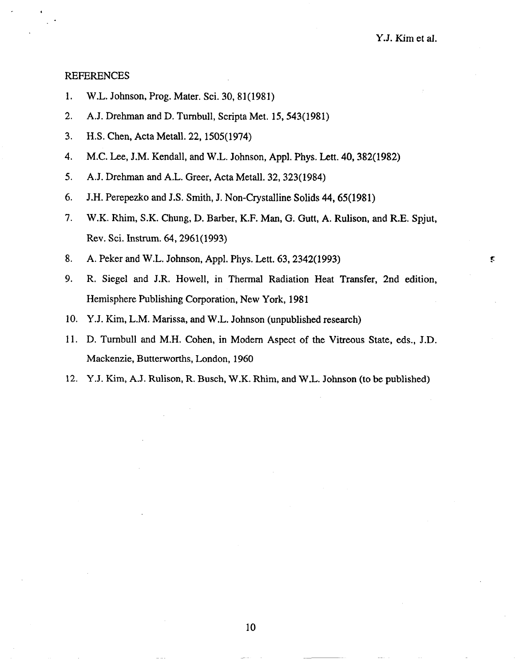## **REFERENCES**

- 1. W.L. Johnson, Prog. Mater. Sci. 30, 81(1981)
- 2. A,J. Drehrnan and D, Turnbull, Scripts Met, 15, 543(1981)
- 3. H.S. Chen, Acts Metall, 22, 1505(1974)
- 4, M.C, Lee, J.M. Kendall, and W.L. Johnson, Appl. Phys, Lett. 40, 382(1982)
- 5. A,J. Drehrnan and A.L. Greer, Acts Metall. 32, 323(1984)
- 6. J.H. Perepezko and J.S. Smith, J, Non-Crystalline Solids 44, 65(1981)
- 7. W.K. Rhim, S.K. Chung, D. Barber, K.F. Man, G. Gutt, A. Rulison, and R.E. Spjut, Rev. Sci. Instrum. 64, 2961(1993)
- 8. A. Peker and W.L. Johnson, Appl. Phys. Lett.  $63, 2342(1993)$   $\epsilon$
- 9. R, Siegel and J.R, Howell, in Thermal Radiation Heat Transfer, 2nd edition, Hemisphere Publishing Corporation, New York, 1981
- 10. Y.J. Kim, L.M. Marissa, and W.L. Johnson (unpublished research)
- 11. D. Turnbull and M.H, Cohen, in Modern Aspect of the Vitreous State, eds., J.D. Mackenzie, Butterworths, London, 1960
- 12. Y.J. Kim, A.J. Rulison, R. Busch, W.K. Rhim, and W.L. Johnson (to be published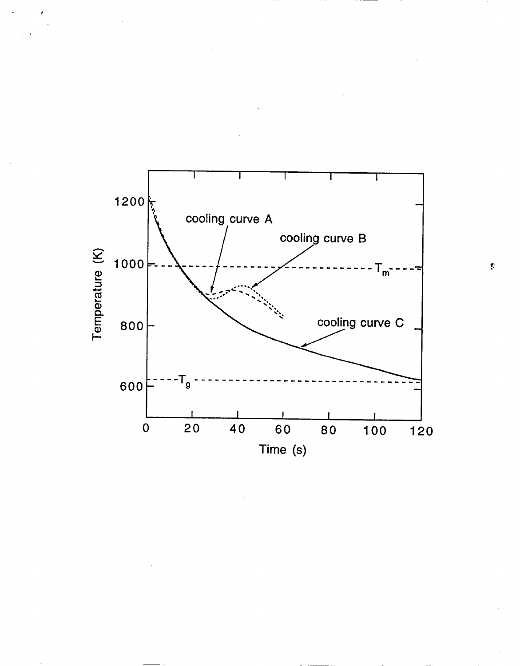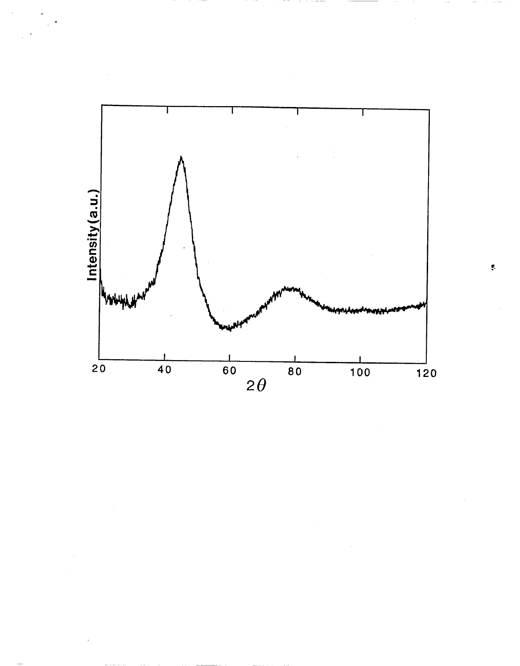

 $\tilde{\mathbf{r}}$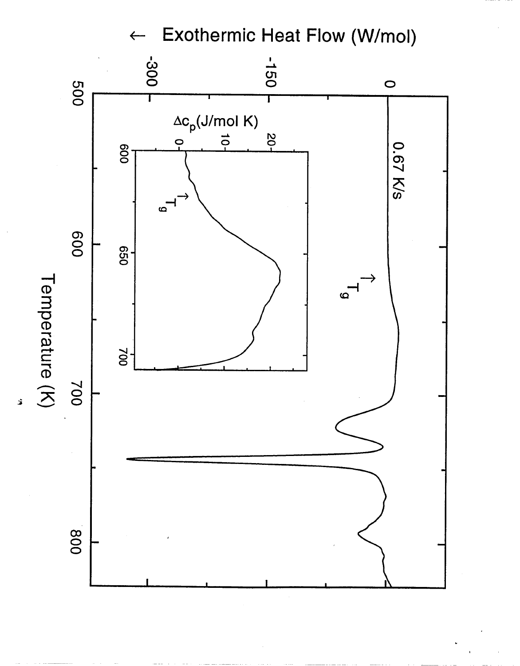



 $\mathbf{r}$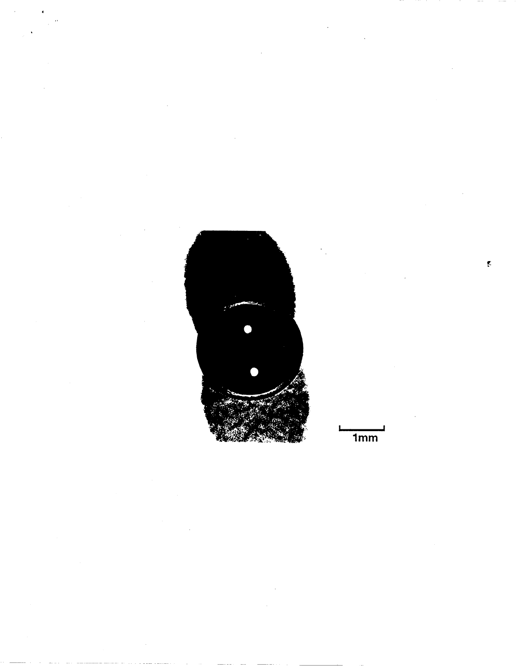

**1mm** 

ţ.